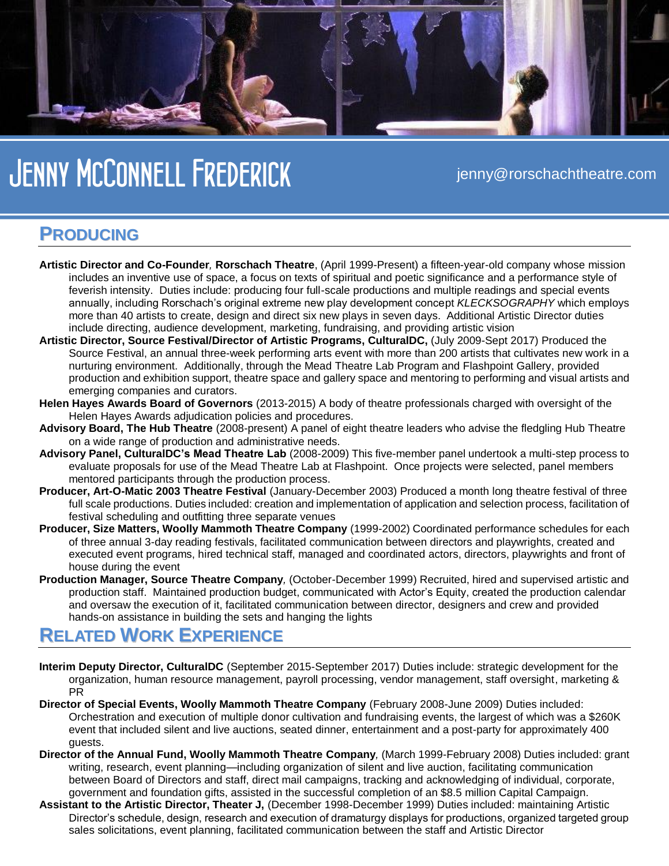

# *Jenny McConnell Frederick* jenny@rorschachtheatre.com

#### **PRODUCING**

- **Artistic Director and Co-Founder***,* **Rorschach Theatre**, (April 1999-Present) a fifteen-year-old company whose mission includes an inventive use of space, a focus on texts of spiritual and poetic significance and a performance style of feverish intensity. Duties include: producing four full-scale productions and multiple readings and special events annually, including Rorschach's original extreme new play development concept *KLECKSOGRAPHY* which employs more than 40 artists to create, design and direct six new plays in seven days. Additional Artistic Director duties include directing, audience development, marketing, fundraising, and providing artistic vision
- **Artistic Director, Source Festival/Director of Artistic Programs, CulturalDC,** (July 2009-Sept 2017) Produced the Source Festival, an annual three-week performing arts event with more than 200 artists that cultivates new work in a nurturing environment. Additionally, through the Mead Theatre Lab Program and Flashpoint Gallery, provided production and exhibition support, theatre space and gallery space and mentoring to performing and visual artists and emerging companies and curators.
- **Helen Hayes Awards Board of Governors** (2013-2015) A body of theatre professionals charged with oversight of the Helen Hayes Awards adjudication policies and procedures.
- **Advisory Board, The Hub Theatre** (2008-present) A panel of eight theatre leaders who advise the fledgling Hub Theatre on a wide range of production and administrative needs.
- **Advisory Panel, CulturalDC's Mead Theatre Lab** (2008-2009) This five-member panel undertook a multi-step process to evaluate proposals for use of the Mead Theatre Lab at Flashpoint. Once projects were selected, panel members mentored participants through the production process.
- **Producer, Art-O-Matic 2003 Theatre Festival** (January-December 2003) Produced a month long theatre festival of three full scale productions. Duties included: creation and implementation of application and selection process, facilitation of festival scheduling and outfitting three separate venues
- **Producer, Size Matters, Woolly Mammoth Theatre Company** (1999-2002) Coordinated performance schedules for each of three annual 3-day reading festivals, facilitated communication between directors and playwrights, created and executed event programs, hired technical staff, managed and coordinated actors, directors, playwrights and front of house during the event
- **Production Manager, Source Theatre Company***,* (October-December 1999) Recruited, hired and supervised artistic and production staff. Maintained production budget, communicated with Actor's Equity, created the production calendar and oversaw the execution of it, facilitated communication between director, designers and crew and provided hands-on assistance in building the sets and hanging the lights

### **RELATED WORK EXPERIENCE**

- **Interim Deputy Director, CulturalDC** (September 2015-September 2017) Duties include: strategic development for the organization, human resource management, payroll processing, vendor management, staff oversight, marketing & PR
- **Director of Special Events, Woolly Mammoth Theatre Company** (February 2008-June 2009) Duties included: Orchestration and execution of multiple donor cultivation and fundraising events, the largest of which was a \$260K event that included silent and live auctions, seated dinner, entertainment and a post-party for approximately 400 guests.
- **Director of the Annual Fund, Woolly Mammoth Theatre Company***,* (March 1999-February 2008) Duties included: grant writing, research, event planning—including organization of silent and live auction, facilitating communication between Board of Directors and staff, direct mail campaigns, tracking and acknowledging of individual, corporate, government and foundation gifts, assisted in the successful completion of an \$8.5 million Capital Campaign.
- **Assistant to the Artistic Director, Theater J,** (December 1998-December 1999) Duties included: maintaining Artistic Director's schedule, design, research and execution of dramaturgy displays for productions, organized targeted group sales solicitations, event planning, facilitated communication between the staff and Artistic Director